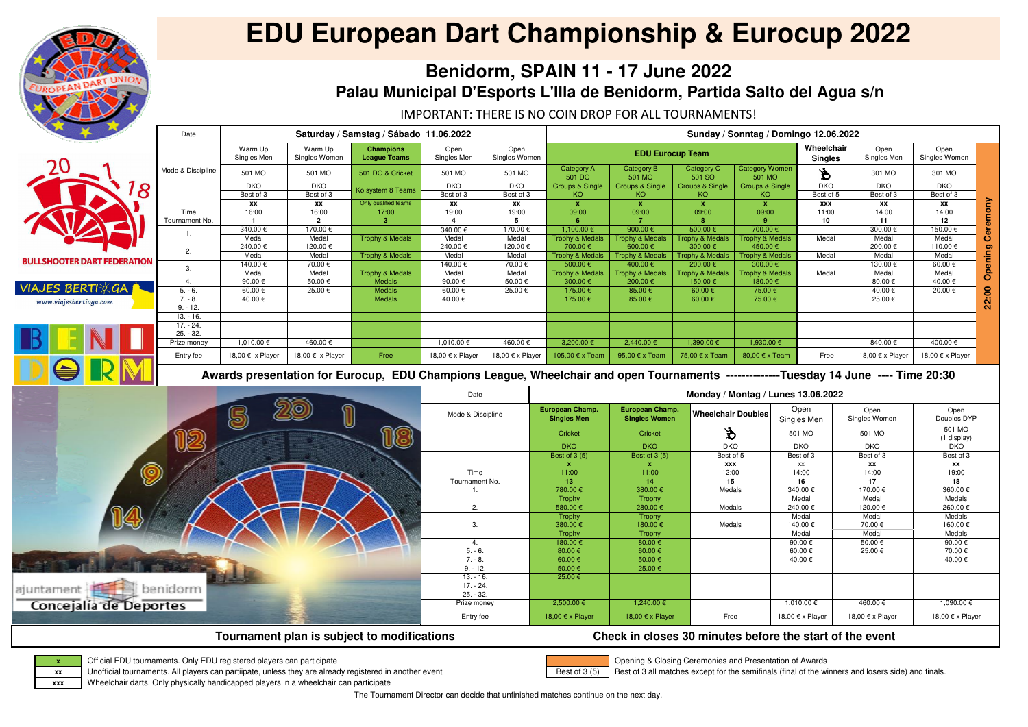The Tournament Director can decide that unfinished matches continue on the next day.



# **EDU European Dart Championship & Eurocup 2022**

# **Benidorm, SPAIN 11 - 17 June 2022 Palau Municipal D'Esports L'Illa de Benidorm, Partida Salto del Agua s/n**

Best of 3 (5)

Opening & Closing Ceremonies and Presentation of Awards

Best of 3 all matches except for the semifinals (final of the winners and losers side) and finals.

## **Tournament plan is subject to modifications Check in closes 30 minutes before the start of the event**



Official EDU tournaments. Only EDU registered players can participate

Unofficial tournaments. All players can partiipate, unless they are already registered in another event

**xxx** Wheelchair darts. Only physically handicapped players in a wheelchair can participate

|                                    | Date                                                                                                                                | Saturday / Samstag / Sábado 11.06.2022 |                          |                                         |                         |                       |                                              |                                                | Sunday / Sonntag / Domingo 12.06.2022  |                                       |                                    |  |                       |                       |                         |  |
|------------------------------------|-------------------------------------------------------------------------------------------------------------------------------------|----------------------------------------|--------------------------|-----------------------------------------|-------------------------|-----------------------|----------------------------------------------|------------------------------------------------|----------------------------------------|---------------------------------------|------------------------------------|--|-----------------------|-----------------------|-------------------------|--|
|                                    |                                                                                                                                     | Warm Up<br>Singles Men                 | Warm Up<br>Singles Women | <b>Champions</b><br><b>League Teams</b> | Open<br>Singles Men     | Open<br>Singles Women |                                              | <b>EDU Eurocup Team</b>                        |                                        |                                       | Wheelchair<br><b>Singles</b>       |  | Open<br>Singles Men   | Open<br>Singles Women |                         |  |
|                                    | Mode & Discipline                                                                                                                   | 501 MO                                 | 501 MO                   | 501 DO & Cricket                        | 501 MO                  | 501 MO                | <b>Category A</b><br>501 DO                  | <b>Category B</b><br>501 MO                    | Category C<br>501 SO                   | <b>Category Women</b><br>501 MO       | $\mathcal{S}$                      |  | 301 MO                | 301 MO                |                         |  |
| $\mathcal{S}_{\mathcal{S}}$        |                                                                                                                                     | <b>DKO</b><br>Best of 3                | <b>DKO</b><br>Best of 3  | Ko system 8 Teams                       | <b>DKO</b><br>Best of 3 | DKO<br>Best of 3      | <b>Groups &amp; Single</b><br>KO.            | <b>Groups &amp; Single</b><br>KO <sub>1</sub>  | <b>Groups &amp; Single</b><br>KO       | <b>Groups &amp; Single</b><br>KO      | <b>DKO</b><br>Best of 5            |  | DKO<br>Best of 3      | DKO<br>Best of 3      |                         |  |
|                                    |                                                                                                                                     | XX                                     | XX                       | Only qualified teams                    | XX                      | XX                    | $\mathbf{x}$                                 | $\mathbf{x}$                                   | $\mathbf{x}$                           | $\mathbf{x}$                          | <b>XXX</b>                         |  | XX                    | <b>XX</b>             | <b>Opening Ceremony</b> |  |
|                                    | Time                                                                                                                                | 16:00                                  | 16:00                    | 17:00                                   | 19:00                   | 19:00                 | 09:00                                        | 09:00                                          | 09:00                                  | 09:00                                 | 11:00                              |  | 14.00                 | 14.00                 |                         |  |
|                                    | Tournament No.                                                                                                                      | -1                                     | $\overline{2}$           | 3                                       | $\overline{4}$          | 5                     | 6                                            | $\overline{7}$                                 | 8                                      | 9                                     | 10                                 |  | 11                    | 12                    |                         |  |
|                                    | 1.                                                                                                                                  | 340.00€                                | $170.00 \in$             |                                         | 340.00€                 | 170.00 €              | $1,100.00 \in$                               | 900.00 $\epsilon$                              | 500.00 €                               | $700.00 \in$                          |                                    |  | 300.00€               | 150.00 €              |                         |  |
|                                    |                                                                                                                                     | Medal<br>240.00€                       | Medal<br>120.00 €        | <b>Trophy &amp; Medals</b>              | Medal<br>240.00€        | Medal<br>120.00 €     | <b>Trophy &amp; Medals</b><br>700.00€        | <b>Trophy &amp; Medals</b><br>600.00 €         | <b>Trophy &amp; Medals</b><br>300.00 € | <b>Trophy &amp; Medals</b><br>450.00€ | Medal                              |  | Medal<br>200.00€      | Medal<br>110.00€      |                         |  |
|                                    | 2.                                                                                                                                  | Medal                                  | Medal                    | <b>Trophy &amp; Medals</b>              | Medal                   | Medal                 | <b>Trophy &amp; Medals</b>                   | <b>Trophy &amp; Medals</b>                     | <b>Trophy &amp; Medals</b>             | <b>Trophy &amp; Medals</b>            | Medal                              |  | Medal                 | Medal                 |                         |  |
| <b>BULLSHOOTER DART FEDERATION</b> |                                                                                                                                     | 140.00€                                | 70.00€                   |                                         | 140.00€                 | 70.00€                | 500.00€                                      | 400.00€                                        | 200.00 €                               | 300.00€                               |                                    |  | 130.00€               | 60.00 $\epsilon$      |                         |  |
|                                    | 3.                                                                                                                                  | Medal                                  | Medal                    | <b>Trophy &amp; Medals</b>              | Medal                   | Medal                 | <b>Trophy &amp; Medals</b>                   | <b>Trophy &amp; Medals</b>                     | <b>Trophy &amp; Medals</b>             | <b>Trophy &amp; Medals</b>            | Medal                              |  | Medal                 | Medal                 |                         |  |
|                                    | 4.                                                                                                                                  | 90.00€                                 | $50.00 \in$              | <b>Medals</b>                           | 90.00 $\epsilon$        | $50.00 \in$           | 300.00€                                      | $200.00 \in$                                   | 150.00€                                | $180.00 \in$                          |                                    |  | 80.00 $\epsilon$      | $40.00 \in$           |                         |  |
| <b>VIAJES BERTIX-GA</b>            | $5. - 6.$                                                                                                                           | 60.00€                                 | 25.00€                   | Medals                                  | 60.00€                  | 25.00€                | 175.00€                                      | 85.00€                                         | $60.00 \in$                            | 75.00€                                |                                    |  | 40.00€                | 20.00 €               |                         |  |
| www.viajesbertioga.com             | $7. - 8.$                                                                                                                           | 40.00 €                                |                          | Medals                                  | 40.00€                  |                       | 175.00€                                      | $85.00 \in$                                    | $60.00 \in$                            | 75.00 $\overline{\epsilon}$           |                                    |  | 25.00€                |                       | 22:00                   |  |
|                                    | $9. - 12.$                                                                                                                          |                                        |                          |                                         |                         |                       |                                              |                                                |                                        |                                       |                                    |  |                       |                       |                         |  |
|                                    | $13. - 16.$                                                                                                                         |                                        |                          |                                         |                         |                       |                                              |                                                |                                        |                                       |                                    |  |                       |                       |                         |  |
|                                    | $17. - 24.$                                                                                                                         |                                        |                          |                                         |                         |                       |                                              |                                                |                                        |                                       |                                    |  |                       |                       |                         |  |
|                                    | $25. - 32.$                                                                                                                         |                                        |                          |                                         |                         |                       |                                              |                                                |                                        |                                       |                                    |  |                       |                       |                         |  |
|                                    | Prize money                                                                                                                         | 1,010.00 €                             | 460.00€                  |                                         | $1,010.00 \in$          | 460.00€               | 3,200.00 €                                   | 2,440.00 €                                     | $1,390.00 \in$                         | 1,930.00 €                            |                                    |  | 840.00€               | 400.00€               |                         |  |
|                                    | Entry fee                                                                                                                           | 18,00 € x Player                       | 18,00 € x Player         | Free                                    | 18,00 € x Player        | 18,00 € x Player      | 105,00 € x Team                              | 95,00 $\epsilon$ x Team                        | 75,00 € x Team                         | 80,00 $\xi$ x Team                    | Free                               |  | 18,00 € x Player      | 18,00 € x Player      |                         |  |
|                                    |                                                                                                                                     |                                        |                          |                                         |                         |                       |                                              |                                                |                                        |                                       |                                    |  |                       |                       |                         |  |
|                                    | Awards presentation for Eurocup, EDU Champions League, Wheelchair and open Tournaments -------------Tuesday 14 June ---- Time 20:30 |                                        |                          |                                         |                         |                       |                                              |                                                |                                        |                                       |                                    |  |                       |                       |                         |  |
|                                    |                                                                                                                                     |                                        |                          |                                         | Date                    |                       |                                              |                                                |                                        |                                       | Monday / Montag / Lunes 13.06.2022 |  |                       |                       |                         |  |
|                                    |                                                                                                                                     |                                        |                          |                                         | Mode & Discipline       |                       | <b>European Champ.</b><br><b>Singles Men</b> | <b>European Champ.</b><br><b>Singles Women</b> | <b>Wheelchair Doubles</b>              |                                       | Open<br>Singles Men                |  | Open<br>Singles Women | Open<br>Doubles DYP   |                         |  |
|                                    |                                                                                                                                     | 51                                     |                          |                                         |                         |                       | Cricket                                      | Cricket                                        | $\mathbf{\hat{z}}$                     |                                       | 501 MO                             |  | 501 MO                | 501 MO<br>(1 display) |                         |  |
|                                    |                                                                                                                                     |                                        |                          | (B                                      |                         |                       | DKO                                          | DKO                                            | <b>DKO</b>                             |                                       | <b>DKO</b>                         |  | <b>DKO</b>            | <b>DKO</b>            |                         |  |
|                                    | 12                                                                                                                                  |                                        |                          |                                         |                         |                       | <b>Best of 3 (5)</b>                         | Best of 3 (5)                                  | Best of 5                              |                                       | Best of 3                          |  | Best of 3             | Best of 3             |                         |  |
|                                    |                                                                                                                                     |                                        |                          |                                         |                         |                       | $\mathbf{x}$                                 | $\mathbf{x}$                                   | <b>XXX</b>                             |                                       | XX                                 |  | XX                    | XX                    |                         |  |
|                                    |                                                                                                                                     |                                        |                          |                                         | Time                    |                       | 11:00                                        | 11:00                                          | 12:00                                  |                                       | 14:00                              |  | 14:00                 | 19:00                 |                         |  |
| Q                                  |                                                                                                                                     |                                        |                          |                                         | Tournament No.          |                       | 13                                           | 14                                             | 15                                     |                                       | 16                                 |  | 17                    | 18                    |                         |  |
|                                    |                                                                                                                                     |                                        |                          |                                         |                         |                       | 780.00€                                      | 380.00€                                        | Medals                                 |                                       | 340.00€                            |  | 170.00 €              | 360.00€               |                         |  |
|                                    |                                                                                                                                     |                                        |                          |                                         |                         |                       | Trophy                                       | Trophy                                         |                                        |                                       | Medal                              |  | Medal                 | Medals                |                         |  |
| æ.                                 |                                                                                                                                     |                                        |                          |                                         | 2.                      |                       | 580.00€                                      | 280.00€                                        | Medals                                 |                                       | 240.00€                            |  | 120.00€               | 260.00€               |                         |  |
|                                    |                                                                                                                                     |                                        |                          |                                         |                         |                       | Trophy                                       | Trophy                                         |                                        |                                       | Medal                              |  | Medal                 | Medals                |                         |  |
|                                    |                                                                                                                                     |                                        |                          |                                         | 3.                      |                       | 380.00 €                                     | 180.00€                                        | Medals                                 |                                       | 140.00€                            |  | 70.00€                | 160.00€               |                         |  |
|                                    |                                                                                                                                     |                                        |                          |                                         |                         |                       | Trophy                                       | Trophy                                         |                                        |                                       | Medal                              |  | Medal                 | Medals                |                         |  |
|                                    |                                                                                                                                     |                                        |                          |                                         | 4.                      |                       | 180.00€                                      | 80.00 $\epsilon$                               |                                        |                                       | 90.00€                             |  | 50.00€                | 90.00€                |                         |  |
|                                    |                                                                                                                                     |                                        |                          |                                         | $5. - 6.$               |                       | 80.00 $\epsilon$<br>60.00 €                  | $60.00 \in$<br>$50.00 \in$                     |                                        |                                       | 60.00€                             |  | 25.00€                | 70.00€                |                         |  |
|                                    |                                                                                                                                     |                                        |                          |                                         | $7. - 8.$<br>$9. - 12.$ |                       | $50.00 \in$                                  | 25.00 $\epsilon$                               |                                        |                                       | 40.00 €                            |  |                       | 40.00€                |                         |  |
|                                    |                                                                                                                                     |                                        |                          |                                         | $13. - 16.$             |                       | 25.00 $\epsilon$                             |                                                |                                        |                                       |                                    |  |                       |                       |                         |  |
|                                    |                                                                                                                                     |                                        |                          |                                         | $17. - 24.$             |                       |                                              |                                                |                                        |                                       |                                    |  |                       |                       |                         |  |
| ajuntament                         | benidorm                                                                                                                            |                                        |                          |                                         | $25. - 32.$             |                       |                                              |                                                |                                        |                                       |                                    |  |                       |                       |                         |  |
|                                    |                                                                                                                                     |                                        |                          |                                         | Prize money             |                       | 2,500.00 €                                   | $1,240.00 \in$                                 |                                        |                                       | $1,010.00 \in$                     |  | 460.00€               | $1,090.00 \in$        |                         |  |
| Concejalía de Deportes             |                                                                                                                                     |                                        |                          |                                         | Entry fee               |                       | 18,00 € x Player                             | 18,00 € x Player                               | Free                                   |                                       | 18.00 € x Player                   |  | 18,00 € x Player      | 18,00 € x Player      |                         |  |

IMPORTANT: THERE IS NO COIN DROP FOR ALL TOURNAMENTS!